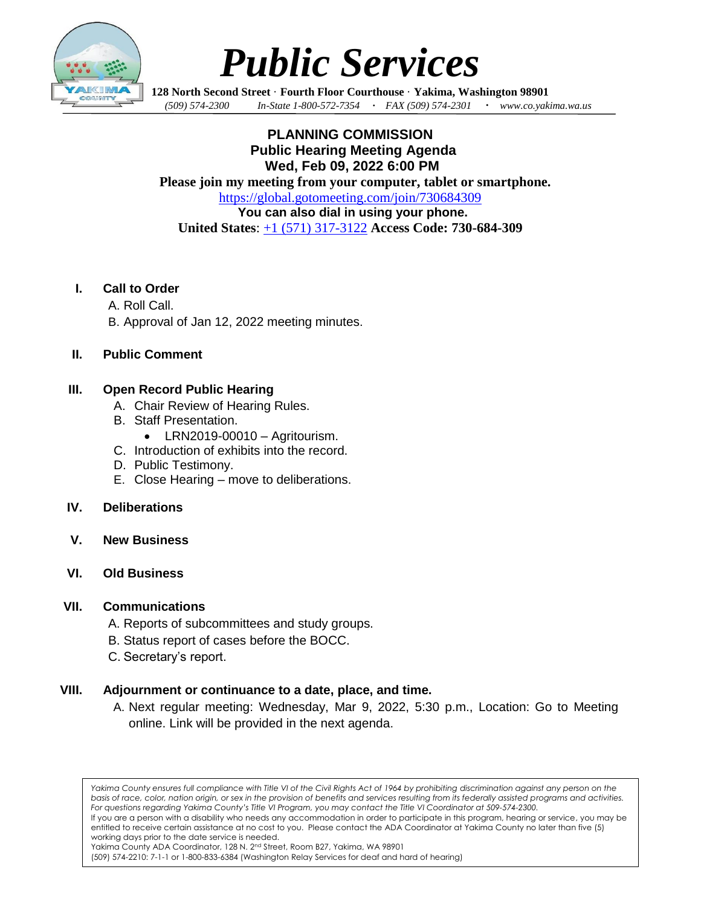

# *Public Services*

**128 North Second Street** · **Fourth Floor Courthouse** · **Yakima, Washington 98901** *(509) 574-2300 In-State 1-800-572-7354 · FAX (509) 574-2301 · www.co.yakima.wa.us*

**PLANNING COMMISSION Public Hearing Meeting Agenda Wed, Feb 09, 2022 6:00 PM Please join my meeting from your computer, tablet or smartphone.** <https://global.gotomeeting.com/join/730684309> **You can also dial in using your phone. United States**: [+1 \(571\) 317-3122](tel:+15713173122,,730684309) **Access Code: 730-684-309**

#### **I. Call to Order**

- A. Roll Call.
- B. Approval of Jan 12, 2022 meeting minutes.

#### **II. Public Comment**

#### **III. Open Record Public Hearing**

- A. Chair Review of Hearing Rules.
- B. Staff Presentation.
	- LRN2019-00010 Agritourism.
- C. Introduction of exhibits into the record.
- D. Public Testimony.
- E. Close Hearing move to deliberations.

#### **IV. Deliberations**

- **V. New Business**
- **VI. Old Business**

#### **VII. Communications**

- A. Reports of subcommittees and study groups.
- B. Status report of cases before the BOCC.
- C. Secretary's report.

#### **VIII. Adjournment or continuance to a date, place, and time.**

A. Next regular meeting: Wednesday, Mar 9, 2022, 5:30 p.m., Location: Go to Meeting online. Link will be provided in the next agenda.

*Yakima County ensures full compliance with Title VI of the Civil Rights Act of 1964 by prohibiting discrimination against any person on the basis of race, color, nation origin, or sex in the provision of benefits and services resulting from its federally assisted programs and activities. For questions regarding Yakima County's Title VI Program, you may contact the Title VI Coordinator at 509-574-2300.*

If you are a person with a disability who needs any accommodation in order to participate in this program, hearing or service, you may be entitled to receive certain assistance at no cost to you. Please contact the ADA Coordinator at Yakima County no later than five (5) working days prior to the date service is needed.

Yakima County ADA Coordinator, 128 N. 2<sup>nd</sup> Street, Room B27, Yakima, WA 98901

<sup>(509) 574-2210: 7-1-1</sup> or 1-800-833-6384 (Washington Relay Services for deaf and hard of hearing)